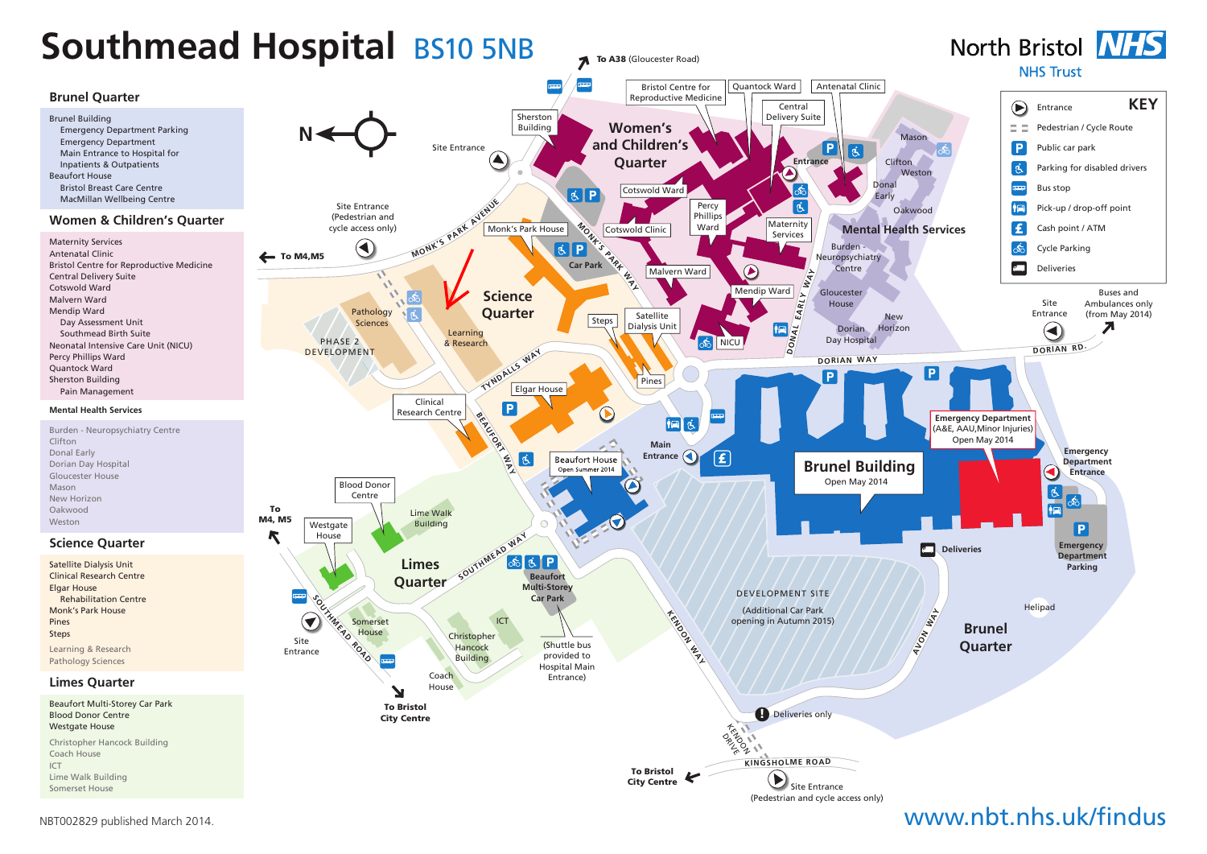

#### NBT002829 published March 2014.

# www.nbt.nhs.uk/findus